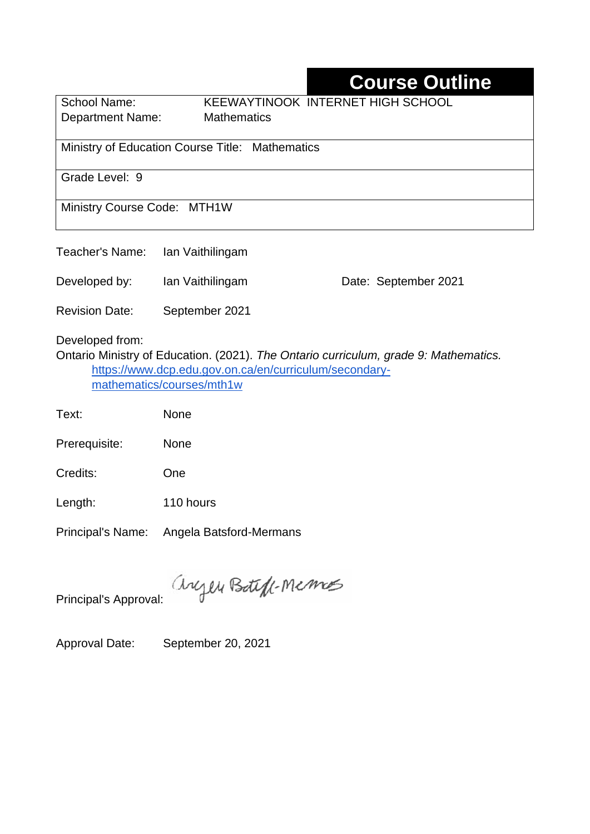## **Course Outline**

Department Name:Mathematics

School Name: KEEWAYTINOOK INTERNET HIGH SCHOOL

Ministry of Education Course Title:Mathematics

Grade Level: 9

Ministry Course Code: MTH1W

| Teacher's Name:<br>Ian Vaithilingam |
|-------------------------------------|
|-------------------------------------|

Developed by: Ian Vaithilingam Date: September 2021

Revision Date: September 2021

Developed from:

Ontario Ministry of Education. (2021). *The Ontario curriculum, grade 9: Mathematics.*  [https://www.dcp.edu.gov.on.ca/en/curriculum/secondary](https://www.dcp.edu.gov.on.ca/en/curriculum/secondary-mathematics/courses/mth1w)[mathematics/courses/mth1w](https://www.dcp.edu.gov.on.ca/en/curriculum/secondary-mathematics/courses/mth1w)

Text: None

Prerequisite: None

Credits: One

Length: 110 hours

Principal's Name: Angela Batsford-Mermans

anyen Boteff-Memos

Principal's Approval:

Approval Date: September 20, 2021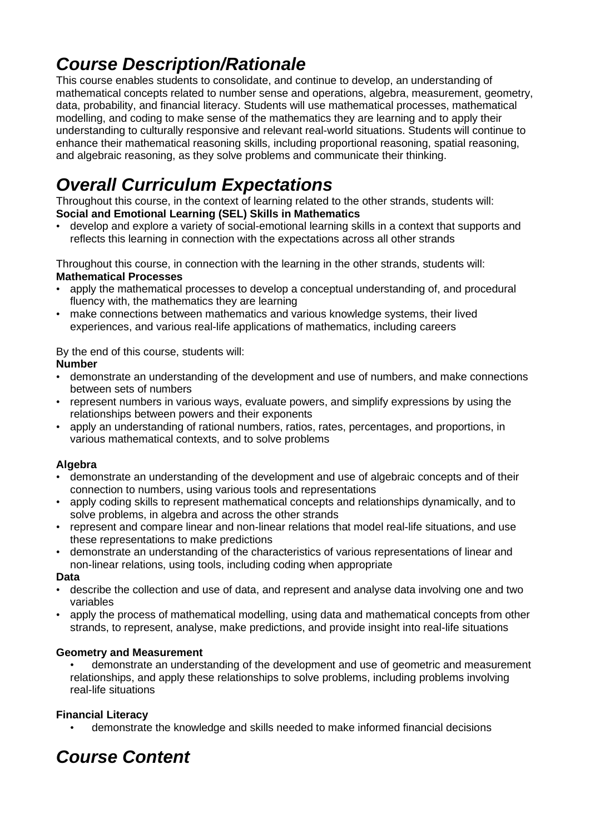## *Course Description/Rationale*

This course enables students to consolidate, and continue to develop, an understanding of mathematical concepts related to number sense and operations, algebra, measurement, geometry, data, probability, and financial literacy. Students will use mathematical processes, mathematical modelling, and coding to make sense of the mathematics they are learning and to apply their understanding to culturally responsive and relevant real-world situations. Students will continue to enhance their mathematical reasoning skills, including proportional reasoning, spatial reasoning, and algebraic reasoning, as they solve problems and communicate their thinking.

# *Overall Curriculum Expectations*

Throughout this course, in the context of learning related to the other strands, students will: **Social and Emotional Learning (SEL) Skills in Mathematics**

• develop and explore a variety of social-emotional learning skills in a context that supports and reflects this learning in connection with the expectations across all other strands

Throughout this course, in connection with the learning in the other strands, students will: **Mathematical Processes**

- apply the mathematical processes to develop a conceptual understanding of, and procedural fluency with, the mathematics they are learning
- make connections between mathematics and various knowledge systems, their lived experiences, and various real-life applications of mathematics, including careers

By the end of this course, students will:

#### **Number**

- demonstrate an understanding of the development and use of numbers, and make connections between sets of numbers
- represent numbers in various ways, evaluate powers, and simplify expressions by using the relationships between powers and their exponents
- apply an understanding of rational numbers, ratios, rates, percentages, and proportions, in various mathematical contexts, and to solve problems

### **Algebra**

- demonstrate an understanding of the development and use of algebraic concepts and of their connection to numbers, using various tools and representations
- apply coding skills to represent mathematical concepts and relationships dynamically, and to solve problems, in algebra and across the other strands
- represent and compare linear and non-linear relations that model real-life situations, and use these representations to make predictions
- demonstrate an understanding of the characteristics of various representations of linear and non-linear relations, using tools, including coding when appropriate

#### **Data**

- describe the collection and use of data, and represent and analyse data involving one and two variables
- apply the process of mathematical modelling, using data and mathematical concepts from other strands, to represent, analyse, make predictions, and provide insight into real-life situations

#### **Geometry and Measurement**

• demonstrate an understanding of the development and use of geometric and measurement relationships, and apply these relationships to solve problems, including problems involving real-life situations

### **Financial Literacy**

• demonstrate the knowledge and skills needed to make informed financial decisions

## *Course Content*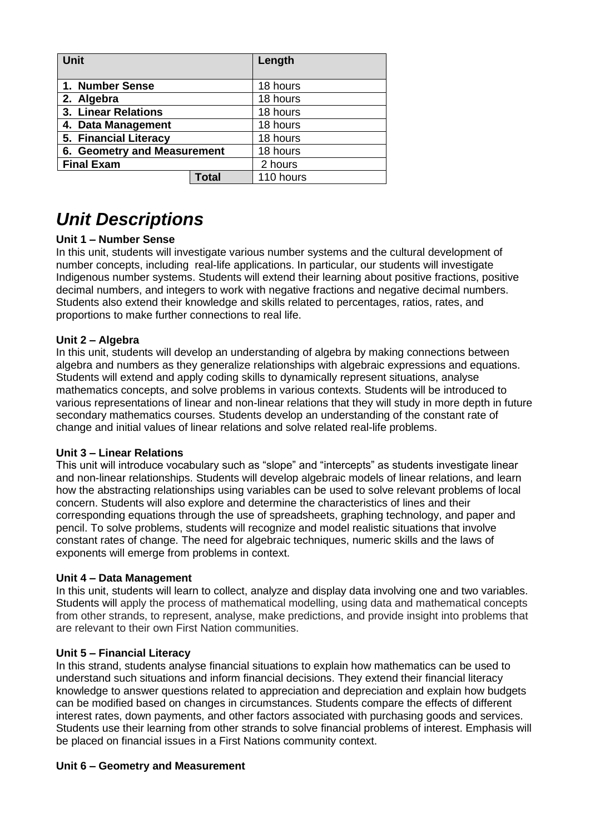| <b>Unit</b>                 |       | Length    |
|-----------------------------|-------|-----------|
| 1. Number Sense             |       | 18 hours  |
| 2. Algebra                  |       | 18 hours  |
| 3. Linear Relations         |       | 18 hours  |
| 4. Data Management          |       | 18 hours  |
| 5. Financial Literacy       |       | 18 hours  |
| 6. Geometry and Measurement |       | 18 hours  |
| <b>Final Exam</b>           |       | 2 hours   |
|                             | Total | 110 hours |

### *Unit Descriptions*

#### **Unit 1 – Number Sense**

In this unit, students will investigate various number systems and the cultural development of number concepts, including real-life applications. In particular, our students will investigate Indigenous number systems. Students will extend their learning about positive fractions, positive decimal numbers, and integers to work with negative fractions and negative decimal numbers. Students also extend their knowledge and skills related to percentages, ratios, rates, and proportions to make further connections to real life.

#### **Unit 2 – Algebra**

In this unit, students will develop an understanding of algebra by making connections between algebra and numbers as they generalize relationships with algebraic expressions and equations. Students will extend and apply coding skills to dynamically represent situations, analyse mathematics concepts, and solve problems in various contexts. Students will be introduced to various representations of linear and non-linear relations that they will study in more depth in future secondary mathematics courses. Students develop an understanding of the constant rate of change and initial values of linear relations and solve related real-life problems.

#### **Unit 3 – Linear Relations**

This unit will introduce vocabulary such as "slope" and "intercepts" as students investigate linear and non-linear relationships. Students will develop algebraic models of linear relations, and learn how the abstracting relationships using variables can be used to solve relevant problems of local concern. Students will also explore and determine the characteristics of lines and their corresponding equations through the use of spreadsheets, graphing technology, and paper and pencil. To solve problems, students will recognize and model realistic situations that involve constant rates of change. The need for algebraic techniques, numeric skills and the laws of exponents will emerge from problems in context.

#### **Unit 4 – Data Management**

In this unit, students will learn to collect, analyze and display data involving one and two variables. Students will apply the process of mathematical modelling, using data and mathematical concepts from other strands, to represent, analyse, make predictions, and provide insight into problems that are relevant to their own First Nation communities.

#### **Unit 5 – Financial Literacy**

In this strand, students analyse financial situations to explain how mathematics can be used to understand such situations and inform financial decisions. They extend their financial literacy knowledge to answer questions related to appreciation and depreciation and explain how budgets can be modified based on changes in circumstances. Students compare the effects of different interest rates, down payments, and other factors associated with purchasing goods and services. Students use their learning from other strands to solve financial problems of interest. Emphasis will be placed on financial issues in a First Nations community context.

#### **Unit 6 – Geometry and Measurement**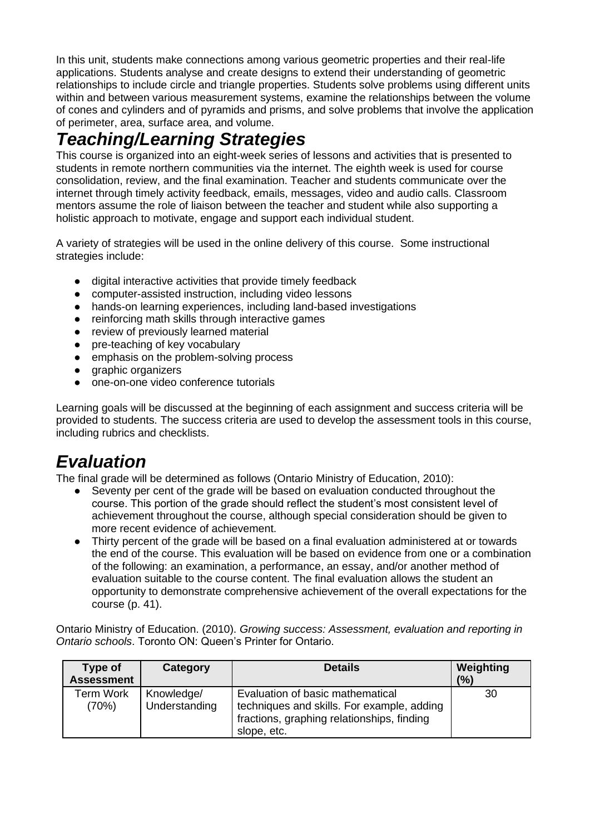In this unit, students make connections among various geometric properties and their real-life applications. Students analyse and create designs to extend their understanding of geometric relationships to include circle and triangle properties. Students solve problems using different units within and between various measurement systems, examine the relationships between the volume of cones and cylinders and of pyramids and prisms, and solve problems that involve the application of perimeter, area, surface area, and volume.

### *Teaching/Learning Strategies*

This course is organized into an eight-week series of lessons and activities that is presented to students in remote northern communities via the internet. The eighth week is used for course consolidation, review, and the final examination. Teacher and students communicate over the internet through timely activity feedback, emails, messages, video and audio calls. Classroom mentors assume the role of liaison between the teacher and student while also supporting a holistic approach to motivate, engage and support each individual student.

A variety of strategies will be used in the online delivery of this course. Some instructional strategies include:

- digital interactive activities that provide timely feedback
- computer-assisted instruction, including video lessons
- hands-on learning experiences, including land-based investigations
- reinforcing math skills through interactive games
- review of previously learned material
- pre-teaching of key vocabulary
- emphasis on the problem-solving process
- graphic organizers
- one-on-one video conference tutorials

Learning goals will be discussed at the beginning of each assignment and success criteria will be provided to students. The success criteria are used to develop the assessment tools in this course, including rubrics and checklists.

## *Evaluation*

The final grade will be determined as follows (Ontario Ministry of Education, 2010):

- Seventy per cent of the grade will be based on evaluation conducted throughout the course. This portion of the grade should reflect the student's most consistent level of achievement throughout the course, although special consideration should be given to more recent evidence of achievement.
- Thirty percent of the grade will be based on a final evaluation administered at or towards the end of the course. This evaluation will be based on evidence from one or a combination of the following: an examination, a performance, an essay, and/or another method of evaluation suitable to the course content. The final evaluation allows the student an opportunity to demonstrate comprehensive achievement of the overall expectations for the course (p. 41).

Ontario Ministry of Education. (2010). *Growing success: Assessment, evaluation and reporting in Ontario schools*. Toronto ON: Queen's Printer for Ontario.

| Type of<br><b>Assessment</b> | Category                    | <b>Details</b>                                                                                                                              | Weighting<br>(%) |
|------------------------------|-----------------------------|---------------------------------------------------------------------------------------------------------------------------------------------|------------------|
| Term Work<br>(70%)           | Knowledge/<br>Understanding | Evaluation of basic mathematical<br>techniques and skills. For example, adding<br>fractions, graphing relationships, finding<br>slope, etc. | 30               |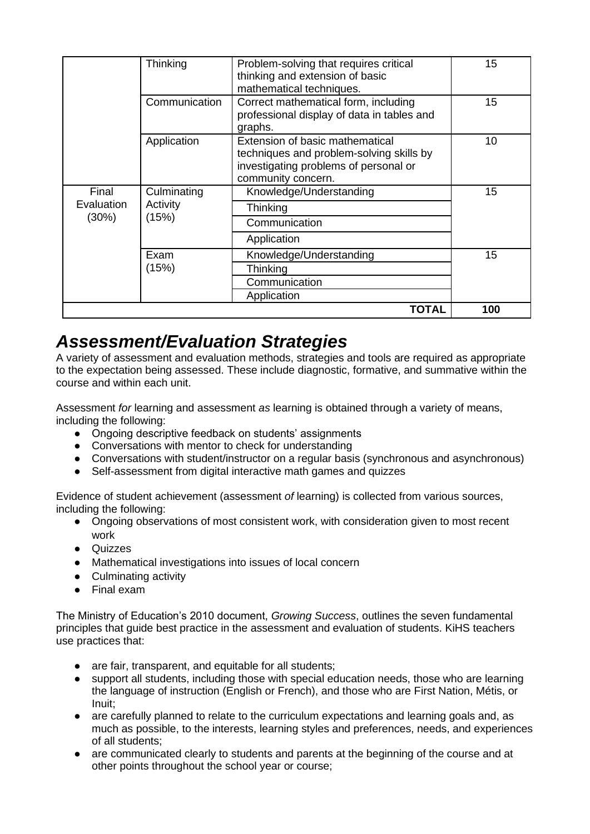|                              | Thinking                         | Problem-solving that requires critical<br>thinking and extension of basic<br>mathematical techniques.                                      | 15 |
|------------------------------|----------------------------------|--------------------------------------------------------------------------------------------------------------------------------------------|----|
|                              | Communication                    | Correct mathematical form, including<br>professional display of data in tables and<br>graphs.                                              | 15 |
|                              | Application                      | Extension of basic mathematical<br>techniques and problem-solving skills by<br>investigating problems of personal or<br>community concern. | 10 |
| Final<br>Evaluation<br>(30%) | Culminating<br>Activity<br>(15%) | Knowledge/Understanding                                                                                                                    | 15 |
|                              |                                  | Thinking                                                                                                                                   |    |
|                              |                                  | Communication                                                                                                                              |    |
|                              |                                  | Application                                                                                                                                |    |
|                              | Exam                             | Knowledge/Understanding                                                                                                                    | 15 |
|                              | (15%)                            | Thinking                                                                                                                                   |    |
|                              |                                  | Communication                                                                                                                              |    |
|                              |                                  | Application                                                                                                                                |    |
|                              | 100                              |                                                                                                                                            |    |

### *Assessment/Evaluation Strategies*

A variety of assessment and evaluation methods, strategies and tools are required as appropriate to the expectation being assessed. These include diagnostic, formative, and summative within the course and within each unit.

Assessment *for* learning and assessment *as* learning is obtained through a variety of means, including the following:

- Ongoing descriptive feedback on students' assignments
- Conversations with mentor to check for understanding
- Conversations with student/instructor on a regular basis (synchronous and asynchronous)
- Self-assessment from digital interactive math games and quizzes

Evidence of student achievement (assessment *of* learning) is collected from various sources, including the following:

- Ongoing observations of most consistent work, with consideration given to most recent work
- Quizzes
- Mathematical investigations into issues of local concern
- Culminating activity
- Final exam

The Ministry of Education's 2010 document, *Growing Success*, outlines the seven fundamental principles that guide best practice in the assessment and evaluation of students. KiHS teachers use practices that:

- are fair, transparent, and equitable for all students;
- support all students, including those with special education needs, those who are learning the language of instruction (English or French), and those who are First Nation, Métis, or Inuit;
- are carefully planned to relate to the curriculum expectations and learning goals and, as much as possible, to the interests, learning styles and preferences, needs, and experiences of all students;
- are communicated clearly to students and parents at the beginning of the course and at other points throughout the school year or course;